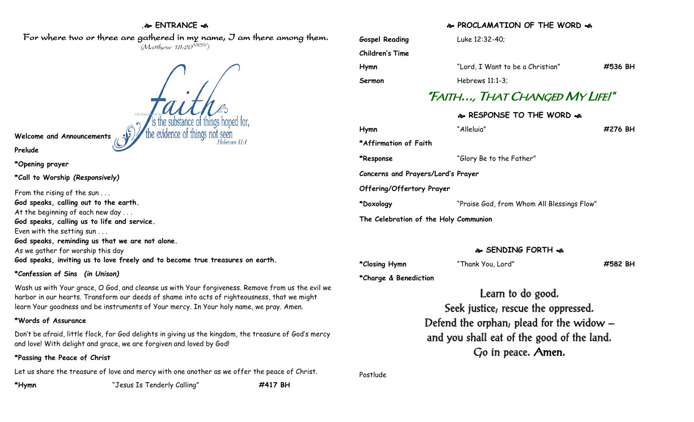#### **. ENTRANCE**

For where two or three are gathered in my name, J am there among them.  $(M$ atthew 18:20 $^{VRSV})$ 

**Welcome and Announcements**

**Prelude**

**\*Opening prayer**

**\*Call to Worship** *(Responsively)*

From the rising of the sun . . . **God speaks, calling out to the earth.** At the beginning of each new day . . . **God speaks, calling us to life and service.** Even with the setting sun . . . **God speaks, reminding us that we are not alone.** As we gather for worship this day **God speaks, inviting us to love freely and to become true treasures on earth.**

#### **\*Confession of Sins** *(in Unison)*

Wash us with Your grace, O God, and cleanse us with Your forgiveness. Remove from us the evil we harbor in our hearts. Transform our deeds of shame into acts of righteousness, that we might learn Your goodness and be instruments of Your mercy. In Your holy name, we pray. Amen.

## **\*Words of Assurance**

Don't be afraid, little flock, for God delights in giving us the kingdom, the treasure of God's mercy and love! With delight and grace, we are forgiven and loved by God!

## **\*Passing the Peace of Christ**

Let us share the treasure of love and mercy with one another as we offer the peace of Christ.

**\*Hymn** "Jesus Is Tenderly Calling" **#417 BH**

## **PROCLAMATION OF THE WORD**

| <b>Gospel Reading</b>                 | Luke 12:32-40;                             |         |
|---------------------------------------|--------------------------------------------|---------|
| <b>Children's Time</b>                |                                            |         |
| Hymn                                  | "Lord, I Want to be a Christian"           | #536 BH |
| Sermon                                | Hebrews $11:1-3$ :                         |         |
| "FAITH…, THAT CHANGED MY LIFE!"       |                                            |         |
| � RESPONSE TO THE WORD �              |                                            |         |
| Hymn                                  | "Alleluia"                                 | #276 BH |
| *Affirmation of Faith                 |                                            |         |
| *Response                             | "Glory Be to the Father"                   |         |
| Concerns and Prayers/Lord's Prayer    |                                            |         |
| Offering/Offertory Prayer             |                                            |         |
| *Doxology                             | "Praise God, from Whom All Blessings Flow" |         |
| The Celebration of the Holy Communion |                                            |         |

## **SENDING FORTH**

**\*Closing Hymn** "Thank You, Lord" **#582 BH**

**\*Charge & Benediction**

Learn to do good.

Seek justice; rescue the oppressed. Defend the orphan; plead for the widow – and you shall eat of the good of the land. Go in peace. Amen.

Postlude